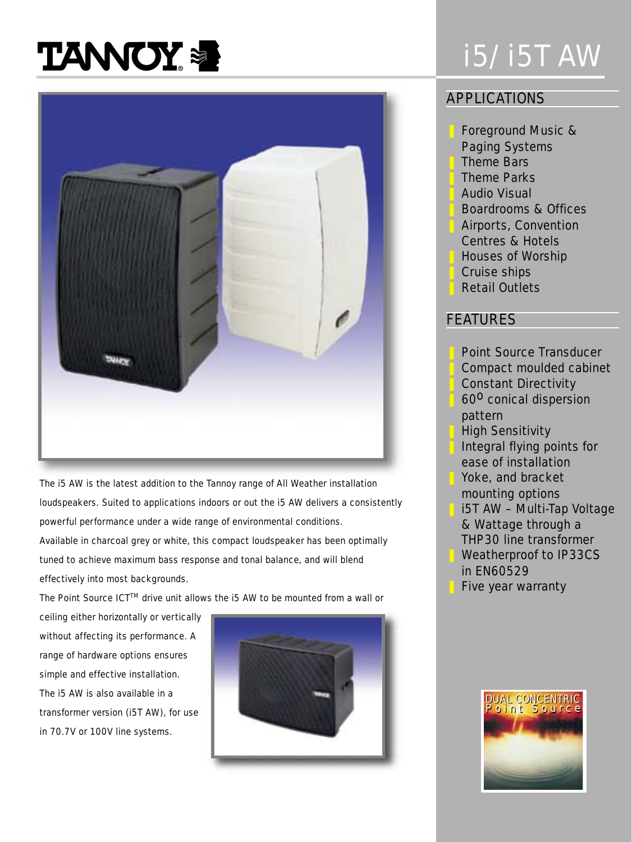# **TANNOY &**



The i5 AW is the latest addition to the Tannoy range of All Weather installation loudspeakers. Suited to applications indoors or out the i5 AW delivers a consistently powerful performance under a wide range of environmental conditions. Available in charcoal grey or white, this compact loudspeaker has been optimally tuned to achieve maximum bass response and tonal balance, and will blend effectively into most backgrounds.

The Point Source ICT™ drive unit allows the i5 AW to be mounted from a wall or

ceiling either horizontally or vertically without affecting its performance. A range of hardware options ensures simple and effective installation. The i5 AW is also available in a transformer version (i5T AW), for use in 70.7V or 100V line systems.



## i5/i5T AW

#### APPLICATIONS

- ❚ Foreground Music &
- Paging Systems
- **Theme Bars**
- **Theme Parks**
- **Audio Visual**
- ❚ Boardrooms & Offices
- ❚ Airports, Convention
- Centres & Hotels
- ❚ Houses of Worship
- ❚ Cruise ships
- **Retail Outlets**

#### FEATURES

- Point Source Transducer
- ❚ Compact moulded cabinet
- ❚ Constant Directivity
- 60<sup>0</sup> conical dispersion pattern
- **High Sensitivity** 
	- ❚ Integral flying points for ease of installation Yoke, and bracket
	- mounting options
	- ❚ i5T AW Multi-Tap Voltage & Wattage through a THP30 line transformer Weatherproof to IP33CS
	- in EN60529
	- Five year warranty